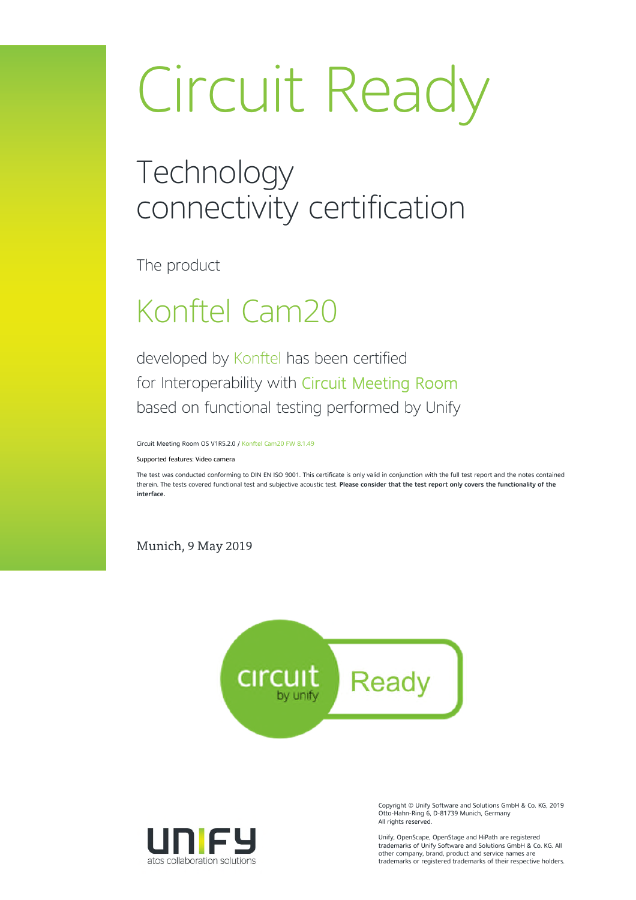# Circuit Ready

### **Technology** connectivity certification

The product

### Konftel Cam20

developed by Konftel has been certified for Interoperability with Circuit Meeting Room based on functional testing performed by Unify

Circuit Meeting Room OS V1R5.2.0 / Konftel Cam20 FW 8.1.49

Supported features: Video camera

The test was conducted conforming to DIN EN ISO 9001. This certificate is only valid in conjunction with the full test report and the notes contained therein. The tests covered functional test and subjective acoustic test. **Please consider that the test report only covers the functionality of the interface.**

Munich, 9 May 2019





Copyright © Unify Software and Solutions GmbH & Co. KG, 2019 Otto-Hahn-Ring 6, D-81739 Munich, Germany All rights reserved.

Unify, OpenScape, OpenStage and HiPath are registered trademarks of Unify Software and Solutions GmbH & Co. KG. All other company, brand, product and service names are trademarks or registered trademarks of their respective holders.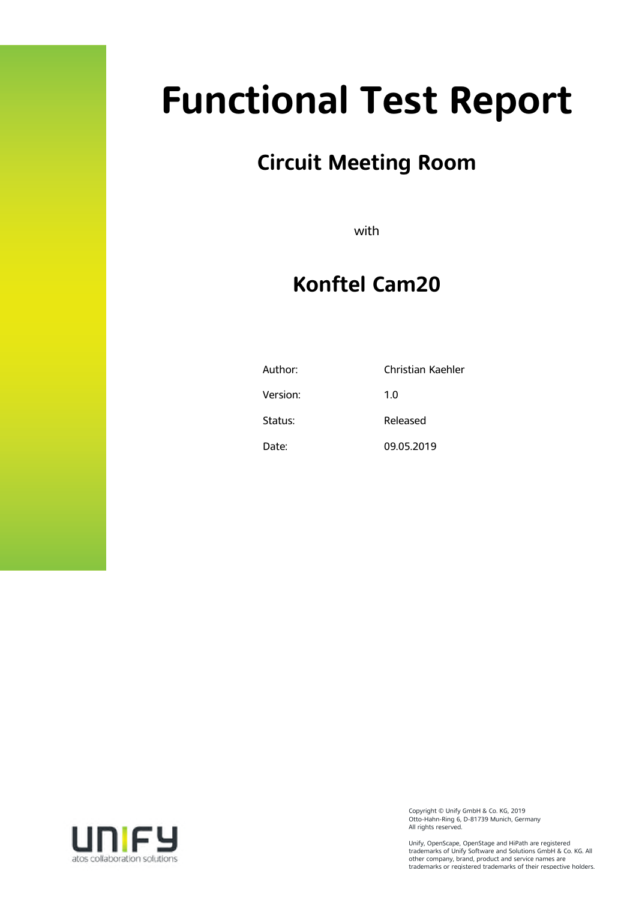# **Functional Test Report**

### **Circuit Meeting Room**

with

### **Konftel Cam20**

| Author:  | Christian Kaehler |
|----------|-------------------|
| Version: | 1.0               |
| Status:  | Released          |
| Date:    | 09.05.2019        |



Copyright © Unify GmbH & Co. KG, 2019 Otto-Hahn-Ring 6, D-81739 Munich, Germany All rights reserved.

Unify, OpenScape, OpenStage and HiPath are registered trademarks of Unify Software and Solutions GmbH & Co. KG. All other company, brand, product and service names are trademarks or registered trademarks of their respective holders.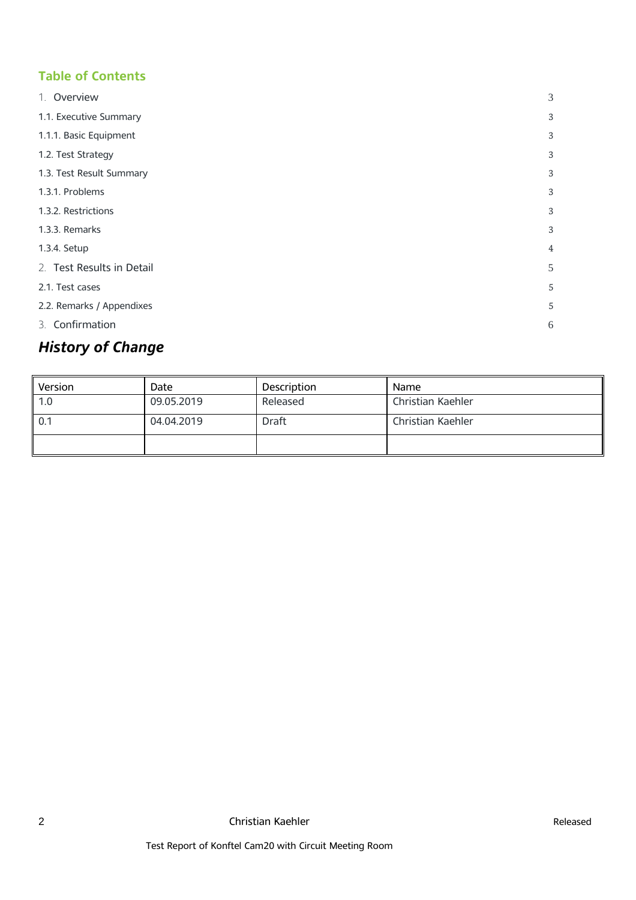#### **Table of Contents**

| 1. Overview               | 3 |
|---------------------------|---|
| 1.1. Executive Summary    | 3 |
| 1.1.1. Basic Equipment    | 3 |
| 1.2. Test Strategy        | 3 |
| 1.3. Test Result Summary  | 3 |
| 1.3.1. Problems           | 3 |
| 1.3.2. Restrictions       | 3 |
| 1.3.3. Remarks            | 3 |
| 1.3.4. Setup              | 4 |
| 2. Test Results in Detail | 5 |
| 2.1. Test cases           | 5 |
| 2.2. Remarks / Appendixes | 5 |
| 3. Confirmation           | 6 |

### *History of Change*

| Version | Date       | <b>Description</b> | <b>Name</b>       |
|---------|------------|--------------------|-------------------|
| 1.0     | 09.05.2019 | Released           | Christian Kaehler |
| 0.1     | 04.04.2019 | <b>Draft</b>       | Christian Kaehler |
|         |            |                    |                   |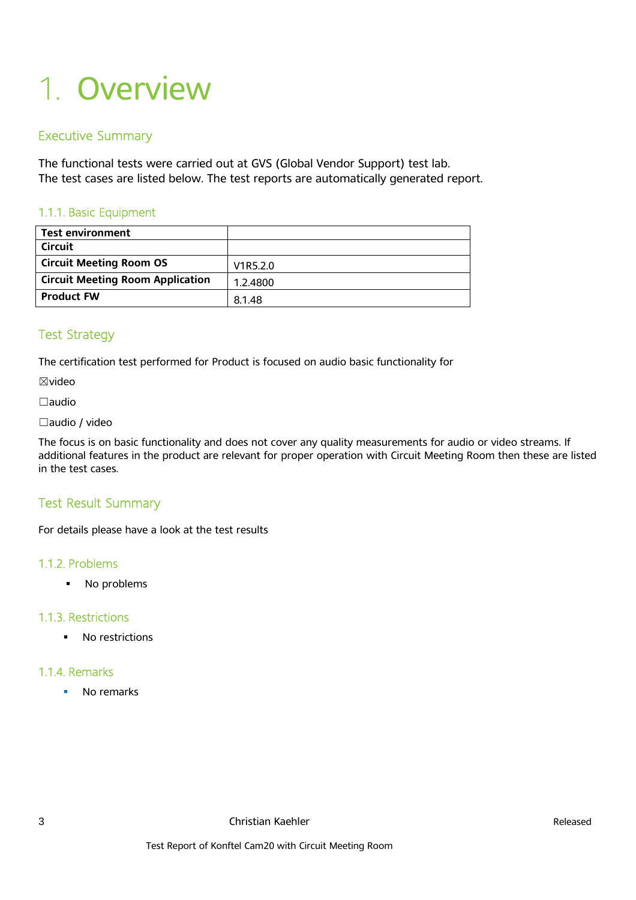## 1. Overview

#### Executive Summary

The functional tests were carried out at GVS (Global Vendor Support) test lab. The test cases are listed below. The test reports are automatically generated report.

#### 1.1.1. Basic Equipment

| <b>Test environment</b>                 |          |
|-----------------------------------------|----------|
| Circuit                                 |          |
| <b>Circuit Meeting Room OS</b>          | V1R5.2.0 |
| <b>Circuit Meeting Room Application</b> | 1.2.4800 |
| <b>Product FW</b>                       | 8.1.48   |

#### Test Strategy

The certification test performed for Product is focused on audio basic functionality for

☒video

☐audio

#### ☐audio / video

The focus is on basic functionality and does not cover any quality measurements for audio or video streams. If additional features in the product are relevant for proper operation with Circuit Meeting Room then these are listed in the test cases.

#### Test Result Summary

For details please have a look at the test results

#### 1.1.2. Problems

• No problems

#### 1.1.3. Restrictions

• No restrictions

#### 1.1.4. Remarks

• No remarks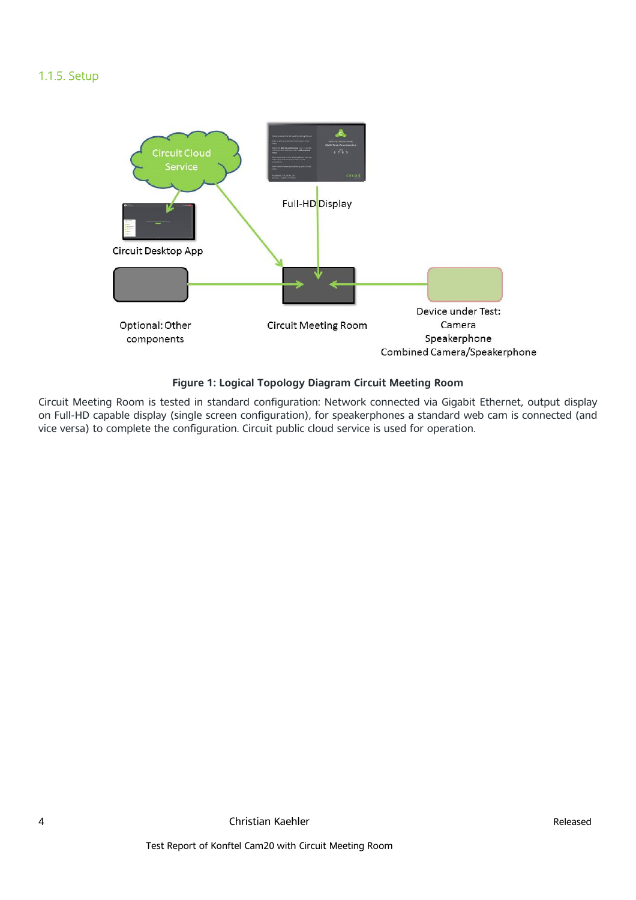#### 1.1.5. Setup



#### **Figure 1: Logical Topology Diagram Circuit Meeting Room**

Circuit Meeting Room is tested in standard configuration: Network connected via Gigabit Ethernet, output display on Full-HD capable display (single screen configuration), for speakerphones a standard web cam is connected (and vice versa) to complete the configuration. Circuit public cloud service is used for operation.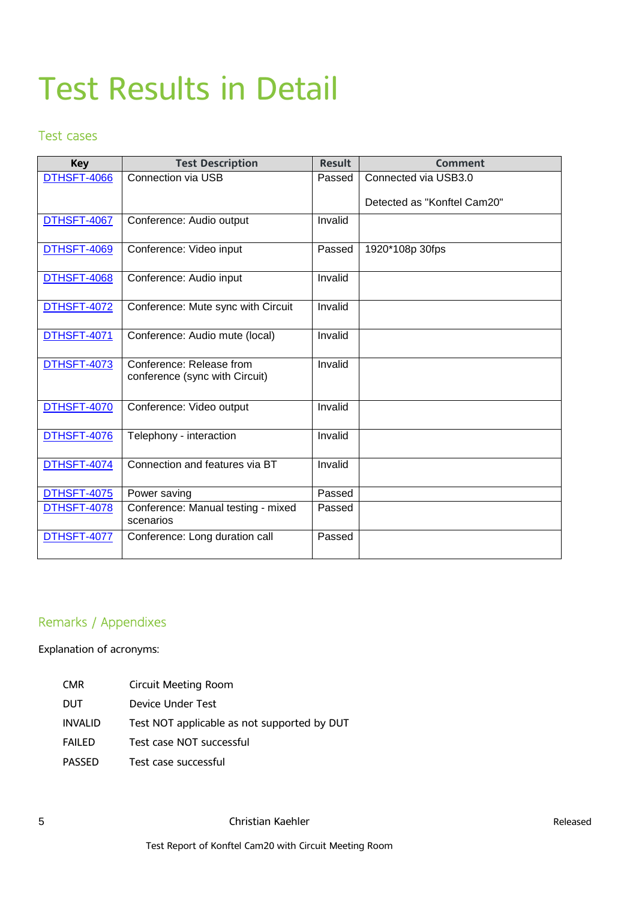### Test Results in Detail

#### Test cases

| <b>Key</b>         | <b>Test Description</b>                                    | <b>Result</b> | <b>Comment</b>              |
|--------------------|------------------------------------------------------------|---------------|-----------------------------|
| DTHSFT-4066        | Connection via USB                                         | Passed        | Connected via USB3.0        |
|                    |                                                            |               | Detected as "Konftel Cam20" |
| DTHSFT-4067        | Conference: Audio output                                   | Invalid       |                             |
| DTHSFT-4069        | Conference: Video input                                    | Passed        | 1920*108p 30fps             |
| <b>DTHSFT-4068</b> | Conference: Audio input                                    | Invalid       |                             |
| <b>DTHSFT-4072</b> | Conference: Mute sync with Circuit                         | Invalid       |                             |
| <b>DTHSFT-4071</b> | Conference: Audio mute (local)                             | Invalid       |                             |
| DTHSFT-4073        | Conference: Release from<br>conference (sync with Circuit) | Invalid       |                             |
| DTHSFT-4070        | Conference: Video output                                   | Invalid       |                             |
| DTHSFT-4076        | Telephony - interaction                                    | Invalid       |                             |
| <b>DTHSFT-4074</b> | Connection and features via BT                             | Invalid       |                             |
| DTHSFT-4075        | Power saving                                               | Passed        |                             |
| DTHSFT-4078        | Conference: Manual testing - mixed<br>scenarios            | Passed        |                             |
| <b>DTHSFT-4077</b> | Conference: Long duration call                             | Passed        |                             |

#### Remarks / Appendixes

Explanation of acronyms:

| CMR     | Circuit Meeting Room                        |
|---------|---------------------------------------------|
| DUT     | Device Under Test                           |
| INVALID | Test NOT applicable as not supported by DUT |
| FAILED  | Test case NOT successful                    |
| PASSED  | Test case successful                        |
|         |                                             |